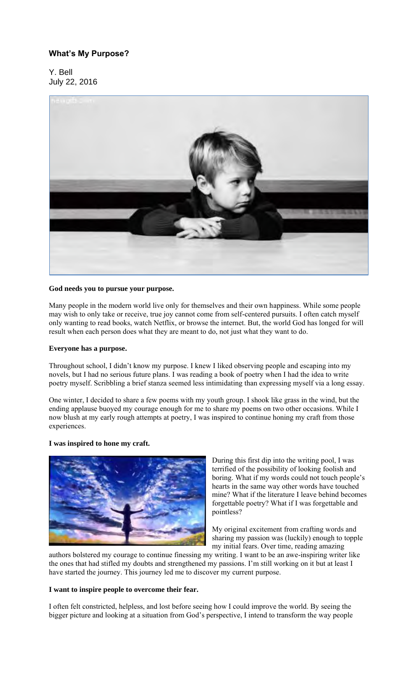# **What's My Purpose?**

Y. Bell July 22, 2016



## **God needs you to pursue your purpose.**

Many people in the modern world live only for themselves and their own happiness. While some people may wish to only take or receive, true joy cannot come from self-centered pursuits. I often catch myself only wanting to read books, watch Netflix, or browse the internet. But, the world God has longed for will result when each person does what they are meant to do, not just what they want to do.

#### **Everyone has a purpose.**

Throughout school, I didn't know my purpose. I knew I liked observing people and escaping into my novels, but I had no serious future plans. I was reading a book of poetry when I had the idea to write poetry myself. Scribbling a brief stanza seemed less intimidating than expressing myself via a long essay.

One winter, I decided to share a few poems with my youth group. I shook like grass in the wind, but the ending applause buoyed my courage enough for me to share my poems on two other occasions. While I now blush at my early rough attempts at poetry, I was inspired to continue honing my craft from those experiences.

# **I was inspired to hone my craft.**



During this first dip into the writing pool, I was terrified of the possibility of looking foolish and boring. What if my words could not touch people's hearts in the same way other words have touched mine? What if the literature I leave behind becomes forgettable poetry? What if I was forgettable and pointless?

My original excitement from crafting words and sharing my passion was (luckily) enough to topple my initial fears. Over time, reading amazing

authors bolstered my courage to continue finessing my writing. I want to be an awe-inspiring writer like the ones that had stifled my doubts and strengthened my passions. I'm still working on it but at least I have started the journey. This journey led me to discover my current purpose.

### **I want to inspire people to overcome their fear.**

I often felt constricted, helpless, and lost before seeing how I could improve the world. By seeing the bigger picture and looking at a situation from God's perspective, I intend to transform the way people